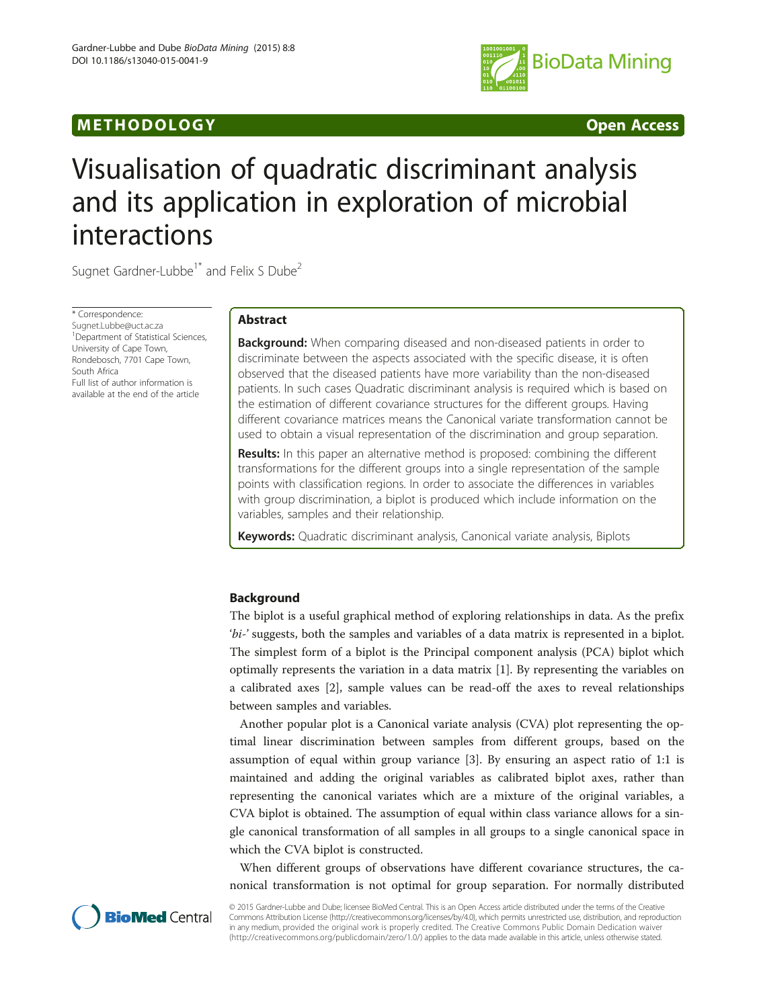# M E THODO L OGY Open Access



# Visualisation of quadratic discriminant analysis and its application in exploration of microbial interactions

Sugnet Gardner-Lubbe<sup>1\*</sup> and Felix S Dube<sup>2</sup>

\* Correspondence: [Sugnet.Lubbe@uct.ac.za](mailto:Sugnet.Lubbe@uct.ac.za) <sup>1</sup> Department of Statistical Sciences, University of Cape Town, Rondebosch, 7701 Cape Town, South Africa Full list of author information is available at the end of the article

# Abstract

**Background:** When comparing diseased and non-diseased patients in order to discriminate between the aspects associated with the specific disease, it is often observed that the diseased patients have more variability than the non-diseased patients. In such cases Quadratic discriminant analysis is required which is based on the estimation of different covariance structures for the different groups. Having different covariance matrices means the Canonical variate transformation cannot be used to obtain a visual representation of the discrimination and group separation.

**Results:** In this paper an alternative method is proposed: combining the different transformations for the different groups into a single representation of the sample points with classification regions. In order to associate the differences in variables with group discrimination, a biplot is produced which include information on the variables, samples and their relationship.

Keywords: Quadratic discriminant analysis, Canonical variate analysis, Biplots

# Background

The biplot is a useful graphical method of exploring relationships in data. As the prefix 'bi-' suggests, both the samples and variables of a data matrix is represented in a biplot. The simplest form of a biplot is the Principal component analysis (PCA) biplot which optimally represents the variation in a data matrix [\[1](#page-9-0)]. By representing the variables on a calibrated axes [\[2](#page-9-0)], sample values can be read-off the axes to reveal relationships between samples and variables.

Another popular plot is a Canonical variate analysis (CVA) plot representing the optimal linear discrimination between samples from different groups, based on the assumption of equal within group variance [\[3](#page-9-0)]. By ensuring an aspect ratio of 1:1 is maintained and adding the original variables as calibrated biplot axes, rather than representing the canonical variates which are a mixture of the original variables, a CVA biplot is obtained. The assumption of equal within class variance allows for a single canonical transformation of all samples in all groups to a single canonical space in which the CVA biplot is constructed.

When different groups of observations have different covariance structures, the canonical transformation is not optimal for group separation. For normally distributed



© 2015 Gardner-Lubbe and Dube; licensee BioMed Central. This is an Open Access article distributed under the terms of the Creative Commons Attribution License [\(http://creativecommons.org/licenses/by/4.0](http://creativecommons.org/licenses/by/4.0)), which permits unrestricted use, distribution, and reproduction in any medium, provided the original work is properly credited. The Creative Commons Public Domain Dedication waiver [\(http://creativecommons.org/publicdomain/zero/1.0/\)](http://creativecommons.org/publicdomain/zero/1.0/) applies to the data made available in this article, unless otherwise stated.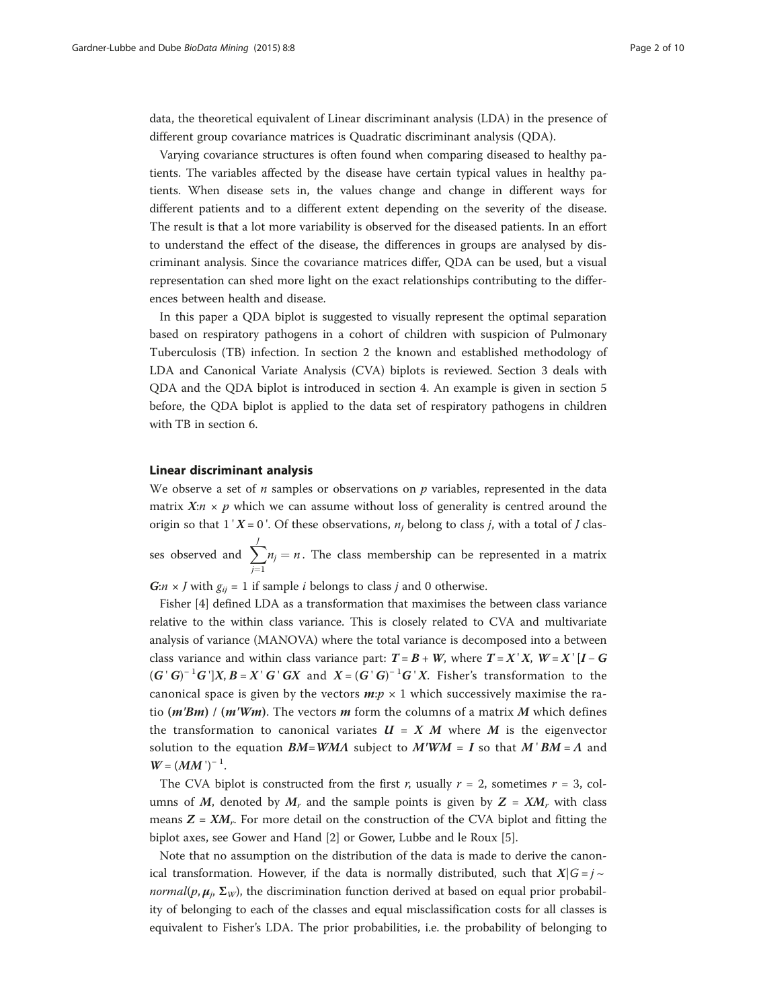data, the theoretical equivalent of Linear discriminant analysis (LDA) in the presence of different group covariance matrices is Quadratic discriminant analysis (QDA).

Varying covariance structures is often found when comparing diseased to healthy patients. The variables affected by the disease have certain typical values in healthy patients. When disease sets in, the values change and change in different ways for different patients and to a different extent depending on the severity of the disease. The result is that a lot more variability is observed for the diseased patients. In an effort to understand the effect of the disease, the differences in groups are analysed by discriminant analysis. Since the covariance matrices differ, QDA can be used, but a visual representation can shed more light on the exact relationships contributing to the differences between health and disease.

In this paper a QDA biplot is suggested to visually represent the optimal separation based on respiratory pathogens in a cohort of children with suspicion of Pulmonary Tuberculosis (TB) infection. In section 2 the known and established methodology of LDA and Canonical Variate Analysis (CVA) biplots is reviewed. Section 3 deals with QDA and the QDA biplot is introduced in section 4. An example is given in section 5 before, the QDA biplot is applied to the data set of respiratory pathogens in children with TB in section 6.

# Linear discriminant analysis

We observe a set of *n* samples or observations on  $p$  variables, represented in the data matrix  $X: n \times p$  which we can assume without loss of generality is centred around the origin so that  $1'X = 0'$ . Of these observations,  $n_i$  belong to class *i*, with a total of *J* classes observed and  $\sum_{i=1}^{J}$  $j=1$  $n_j = n$ . The class membership can be represented in a matrix

 $G: n \times J$  with  $g_{ij} = 1$  if sample *i* belongs to class *j* and 0 otherwise.

Fisher [[4](#page-9-0)] defined LDA as a transformation that maximises the between class variance relative to the within class variance. This is closely related to CVA and multivariate analysis of variance (MANOVA) where the total variance is decomposed into a between class variance and within class variance part:  $T = B + W$ , where  $T = X'X$ ,  $W = X'[I - G]$  $(G'G)^{-1}G'|X, B=X'G'GX$  and  $X=(G'G)^{-1}G'X$ . Fisher's transformation to the canonical space is given by the vectors  $m:p \times 1$  which successively maximise the ratio  $(m'Bm) / (m'Wm)$ . The vectors m form the columns of a matrix M which defines the transformation to canonical variates  $U = X \cdot M$  where M is the eigenvector solution to the equation  $BM=WM\Lambda$  subject to  $M'WM = I$  so that  $M'BM = \Lambda$  and  $W = (MM')^{-1}.$ 

The CVA biplot is constructed from the first r, usually  $r = 2$ , sometimes  $r = 3$ , columns of M, denoted by M, and the sample points is given by  $Z = X/M_r$ , with class means  $Z = X M_r$ . For more detail on the construction of the CVA biplot and fitting the biplot axes, see Gower and Hand [[2](#page-9-0)] or Gower, Lubbe and le Roux [[5\]](#page-9-0).

Note that no assumption on the distribution of the data is made to derive the canonical transformation. However, if the data is normally distributed, such that  $X|G = j \sim$ *normal*( $p, \mu_i, \Sigma_w$ ), the discrimination function derived at based on equal prior probability of belonging to each of the classes and equal misclassification costs for all classes is equivalent to Fisher's LDA. The prior probabilities, i.e. the probability of belonging to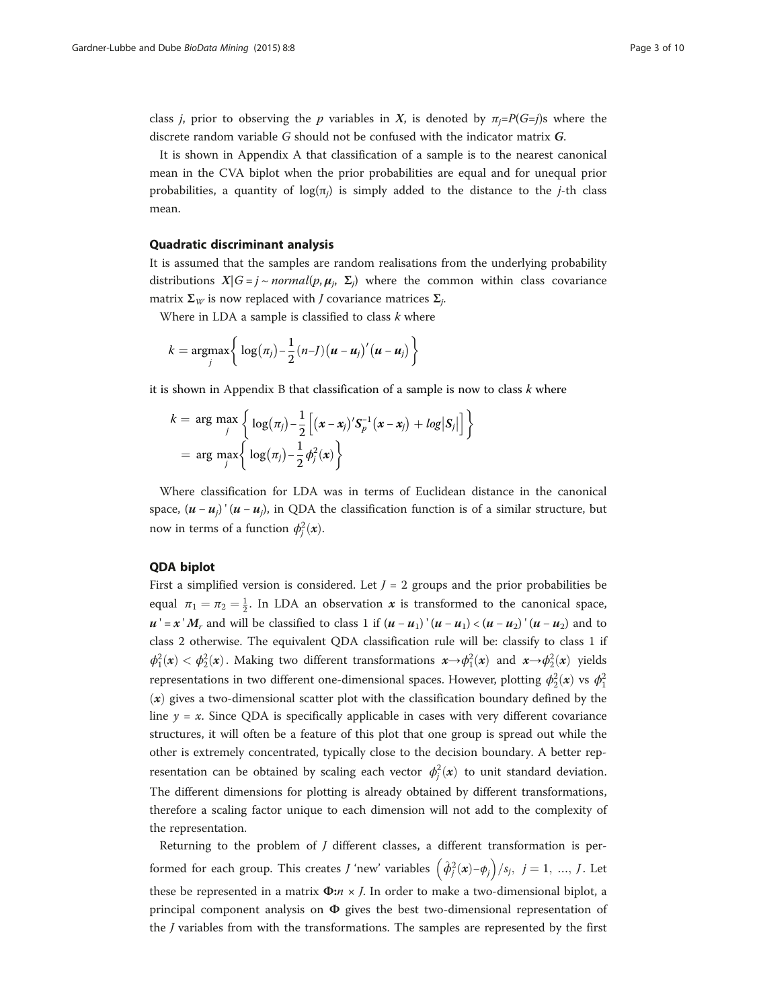class *j*, prior to observing the *p* variables in *X*, is denoted by  $\pi_i = P(G=i)$  where the discrete random variable G should not be confused with the indicator matrix G.

It is shown in [Appendix A](#page-7-0) that classification of a sample is to the nearest canonical mean in the CVA biplot when the prior probabilities are equal and for unequal prior probabilities, a quantity of  $log(\pi_i)$  is simply added to the distance to the j-th class mean.

## Quadratic discriminant analysis

It is assumed that the samples are random realisations from the underlying probability distributions  $X|G = j \sim normal(p, \mu_i, \Sigma_j)$  where the common within class covariance matrix  $\Sigma_W$  is now replaced with *J* covariance matrices  $\Sigma_i$ .

Where in LDA a sample is classified to class  $k$  where

$$
k = \underset{j}{\operatorname{argmax}} \bigg\{ \log(\pi_j) - \frac{1}{2} (n-1) (u - u_j)' (u - u_j) \bigg\}
$$

it is shown in [Appendix B](#page-8-0) that classification of a sample is now to class  $k$  where

$$
k = \arg \max_{j} \left\{ \log(\pi_j) - \frac{1}{2} \left[ (\mathbf{x} - \mathbf{x}_j)' \mathbf{S}_p^{-1} (\mathbf{x} - \mathbf{x}_j) + \log |\mathbf{S}_j| \right] \right\}
$$
  
= 
$$
\arg \max_{j} \left\{ \log(\pi_j) - \frac{1}{2} \phi_j^2 (\mathbf{x}) \right\}
$$

Where classification for LDA was in terms of Euclidean distance in the canonical space,  $(u - u_j)'(u - u_j)$ , in QDA the classification function is of a similar structure, but now in terms of a function  $\phi_j^2(\boldsymbol{x})$ .

# QDA biplot

First a simplified version is considered. Let  $J = 2$  groups and the prior probabilities be equal  $\pi_1 = \pi_2 = \frac{1}{2}$ . In LDA an observation x is transformed to the canonical space,  $u' = x' M_r$  and will be classified to class 1 if  $(u - u_1)'(u - u_1) < (u - u_2)'(u - u_2)$  and to class 2 otherwise. The equivalent QDA classification rule will be: classify to class 1 if  $\phi_1^2(x) < \phi_2^2(x)$ . Making two different transformations  $x \to \phi_1^2(x)$  and  $x \to \phi_2^2(x)$  yields representations in two different one-dimensional spaces. However, plotting  $\phi_2^2(x)$  vs  $\phi_1^2$  $(x)$  gives a two-dimensional scatter plot with the classification boundary defined by the line  $y = x$ . Since QDA is specifically applicable in cases with very different covariance structures, it will often be a feature of this plot that one group is spread out while the other is extremely concentrated, typically close to the decision boundary. A better representation can be obtained by scaling each vector  $\phi_j^2(x)$  to unit standard deviation. The different dimensions for plotting is already obtained by different transformations, therefore a scaling factor unique to each dimension will not add to the complexity of the representation.

Returning to the problem of J different classes, a different transformation is performed for each group. This creates  $J$  'new' variables  $\left(\hat{\phi}_j^2(\bm{x})-\phi_j\right)/s_j,\ \ j=1,\ ...,\ J.$  Let these be represented in a matrix  $\Phi$ : $n \times J$ . In order to make a two-dimensional biplot, a principal component analysis on  $\Phi$  gives the best two-dimensional representation of the J variables from with the transformations. The samples are represented by the first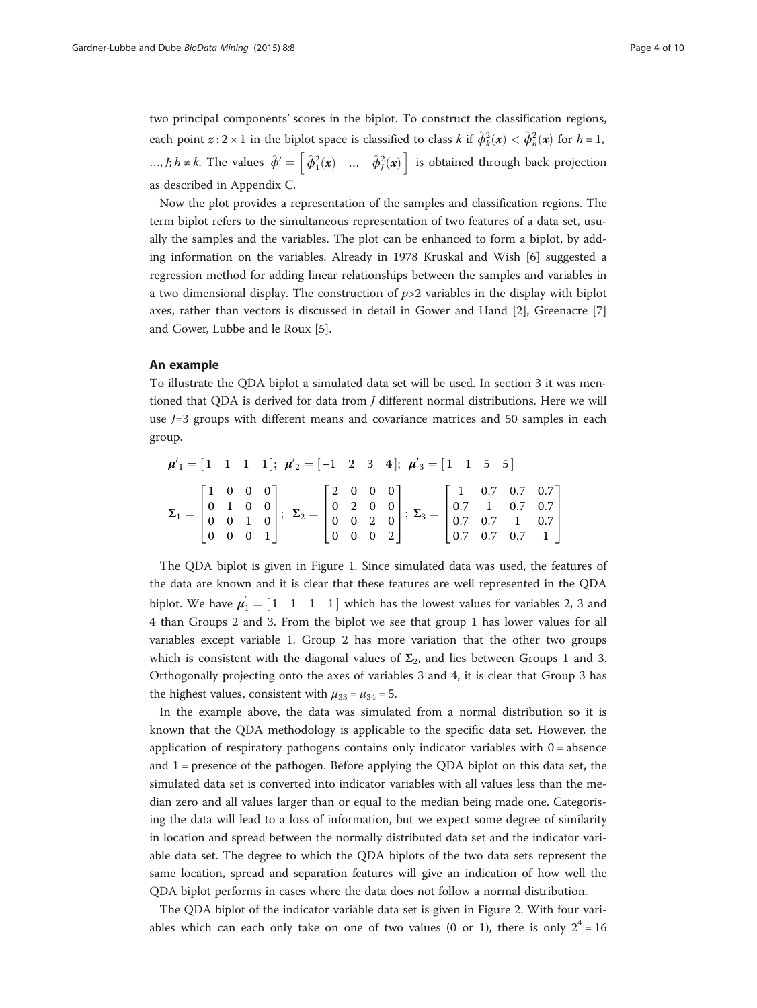two principal components' scores in the biplot. To construct the classification regions, each point  $z: 2 \times 1$  in the biplot space is classified to class k if  $\hat{\phi}_k^2(x) < \hat{\phi}_k^2(x)$  for  $h = 1$ , ..., *J*; *h* ≠ *k*. The values  $\hat{\phi}' = \begin{bmatrix} \hat{\phi}_1^2(x) & \dots & \hat{\phi}_j^2(x) \end{bmatrix}$  is obtained through back projection as described in [Appendix C.](#page-8-0)

Now the plot provides a representation of the samples and classification regions. The term biplot refers to the simultaneous representation of two features of a data set, usually the samples and the variables. The plot can be enhanced to form a biplot, by adding information on the variables. Already in 1978 Kruskal and Wish [\[6](#page-9-0)] suggested a regression method for adding linear relationships between the samples and variables in a two dimensional display. The construction of  $p > 2$  variables in the display with biplot axes, rather than vectors is discussed in detail in Gower and Hand [\[2](#page-9-0)], Greenacre [[7](#page-9-0)] and Gower, Lubbe and le Roux [[5\]](#page-9-0).

### An example

To illustrate the QDA biplot a simulated data set will be used. In section 3 it was mentioned that QDA is derived for data from J different normal distributions. Here we will use  $J=3$  groups with different means and covariance matrices and 50 samples in each group.

 $\mu'_1 = [1 \ 1 \ 1 \ 1]; \ \mu'_2 = [-1 \ 2 \ 3 \ 4]; \ \mu'_3 = [1 \ 1 \ 5 \ 5]$  $\Sigma_1 =$ 1000 0100 0010 0001  $\sqrt{2}$  $\overline{\phantom{a}}$ 1  $\Bigg|; \ \Sigma_2 =$ 2000 0200 0020 0002  $\sqrt{2}$  $\overline{\phantom{a}}$ 1  $\Big\} ; \Sigma_3 =$ 1 0:7 0:7 0:7 0:710:7 0:7 0.7 1 0.7 0:7 0:7 0:7 1  $\sqrt{2}$  $\left| \right|$ 1  $\left| \right|$ 

The QDA biplot is given in Figure [1](#page-4-0). Since simulated data was used, the features of the data are known and it is clear that these features are well represented in the QDA biplot. We have  $\mu'_1 = \begin{bmatrix} 1 & 1 & 1 & 1 \end{bmatrix}$  which has the lowest values for variables 2, 3 and 4 than Groups 2 and 3. From the biplot we see that group 1 has lower values for all variables except variable 1. Group 2 has more variation that the other two groups which is consistent with the diagonal values of  $\Sigma_2$ , and lies between Groups 1 and 3. Orthogonally projecting onto the axes of variables 3 and 4, it is clear that Group 3 has the highest values, consistent with  $\mu_{33} = \mu_{34} = 5$ .

In the example above, the data was simulated from a normal distribution so it is known that the QDA methodology is applicable to the specific data set. However, the application of respiratory pathogens contains only indicator variables with  $0 =$  absence and  $1 =$  presence of the pathogen. Before applying the QDA biplot on this data set, the simulated data set is converted into indicator variables with all values less than the median zero and all values larger than or equal to the median being made one. Categorising the data will lead to a loss of information, but we expect some degree of similarity in location and spread between the normally distributed data set and the indicator variable data set. The degree to which the QDA biplots of the two data sets represent the same location, spread and separation features will give an indication of how well the QDA biplot performs in cases where the data does not follow a normal distribution.

The QDA biplot of the indicator variable data set is given in Figure [2.](#page-5-0) With four variables which can each only take on one of two values (0 or 1), there is only  $2^4 = 16$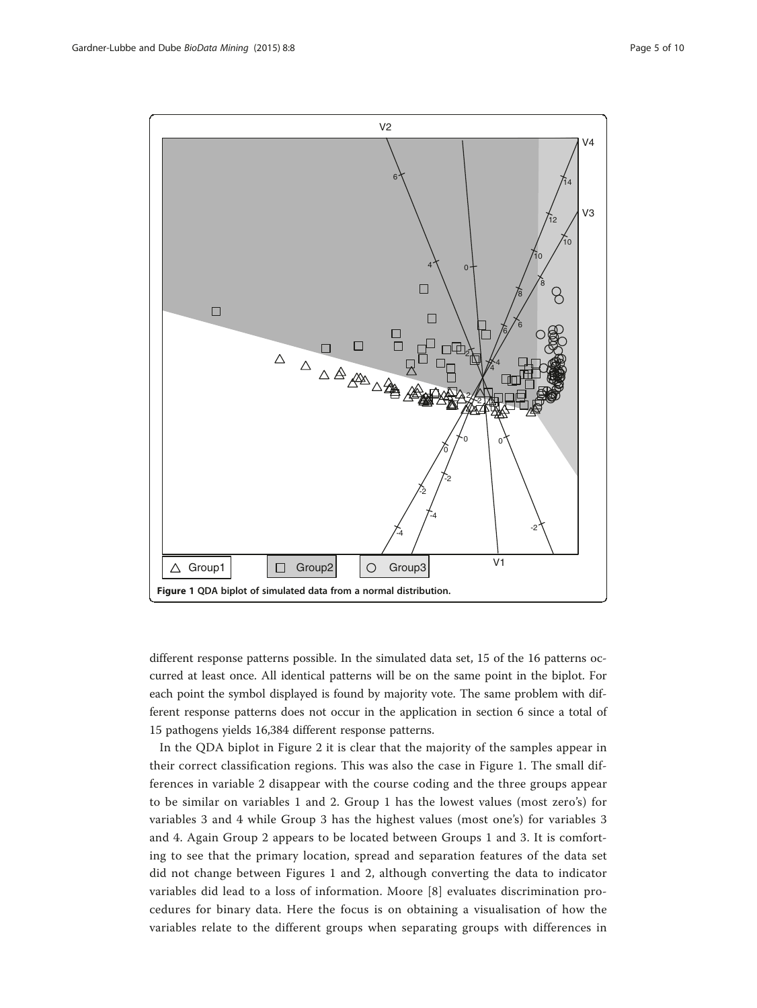<span id="page-4-0"></span>

different response patterns possible. In the simulated data set, 15 of the 16 patterns occurred at least once. All identical patterns will be on the same point in the biplot. For each point the symbol displayed is found by majority vote. The same problem with different response patterns does not occur in the application in section 6 since a total of 15 pathogens yields 16,384 different response patterns.

In the QDA biplot in Figure [2](#page-5-0) it is clear that the majority of the samples appear in their correct classification regions. This was also the case in Figure 1. The small differences in variable 2 disappear with the course coding and the three groups appear to be similar on variables 1 and 2. Group 1 has the lowest values (most zero's) for variables 3 and 4 while Group 3 has the highest values (most one's) for variables 3 and 4. Again Group 2 appears to be located between Groups 1 and 3. It is comforting to see that the primary location, spread and separation features of the data set did not change between Figures 1 and [2,](#page-5-0) although converting the data to indicator variables did lead to a loss of information. Moore [[8](#page-9-0)] evaluates discrimination procedures for binary data. Here the focus is on obtaining a visualisation of how the variables relate to the different groups when separating groups with differences in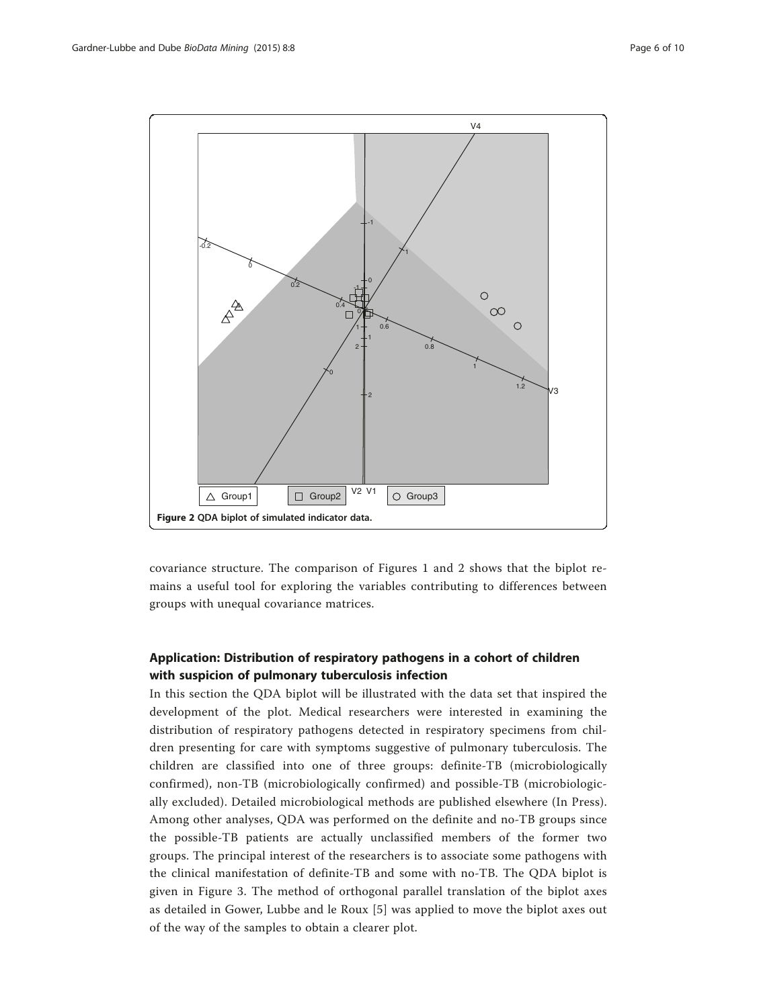<span id="page-5-0"></span>

covariance structure. The comparison of Figures [1](#page-4-0) and 2 shows that the biplot remains a useful tool for exploring the variables contributing to differences between groups with unequal covariance matrices.

# Application: Distribution of respiratory pathogens in a cohort of children with suspicion of pulmonary tuberculosis infection

In this section the QDA biplot will be illustrated with the data set that inspired the development of the plot. Medical researchers were interested in examining the distribution of respiratory pathogens detected in respiratory specimens from children presenting for care with symptoms suggestive of pulmonary tuberculosis. The children are classified into one of three groups: definite-TB (microbiologically confirmed), non-TB (microbiologically confirmed) and possible-TB (microbiologically excluded). Detailed microbiological methods are published elsewhere (In Press). Among other analyses, QDA was performed on the definite and no-TB groups since the possible-TB patients are actually unclassified members of the former two groups. The principal interest of the researchers is to associate some pathogens with the clinical manifestation of definite-TB and some with no-TB. The QDA biplot is given in Figure [3.](#page-6-0) The method of orthogonal parallel translation of the biplot axes as detailed in Gower, Lubbe and le Roux [[5\]](#page-9-0) was applied to move the biplot axes out of the way of the samples to obtain a clearer plot.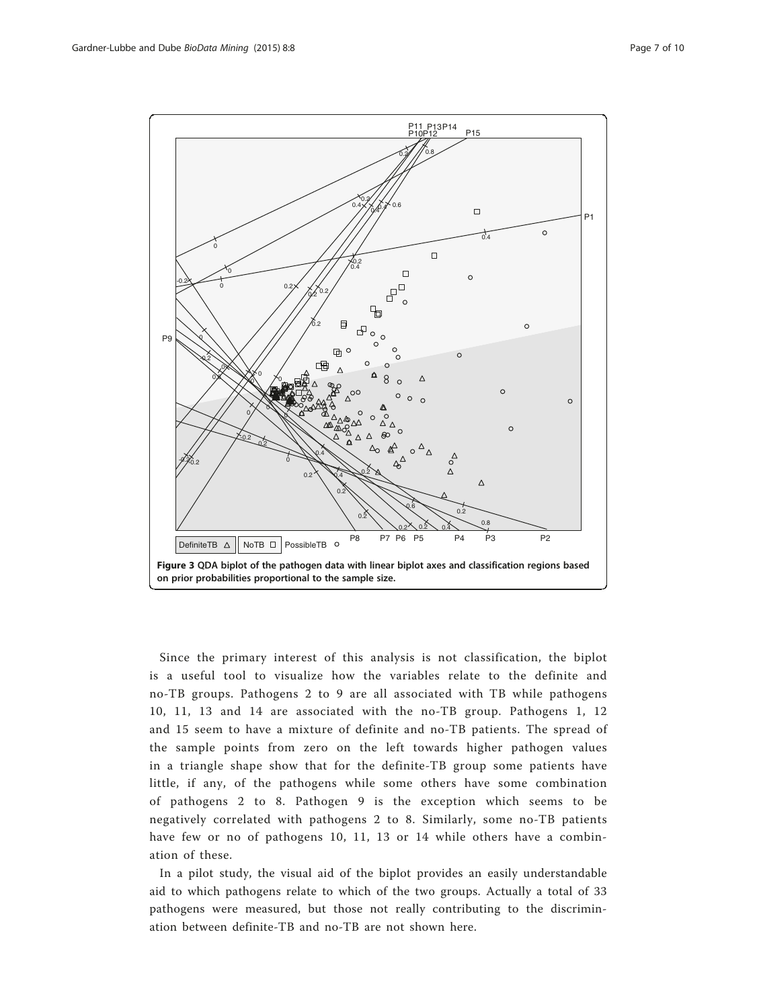<span id="page-6-0"></span>

Since the primary interest of this analysis is not classification, the biplot is a useful tool to visualize how the variables relate to the definite and no-TB groups. Pathogens 2 to 9 are all associated with TB while pathogens 10, 11, 13 and 14 are associated with the no-TB group. Pathogens 1, 12 and 15 seem to have a mixture of definite and no-TB patients. The spread of the sample points from zero on the left towards higher pathogen values in a triangle shape show that for the definite-TB group some patients have little, if any, of the pathogens while some others have some combination of pathogens 2 to 8. Pathogen 9 is the exception which seems to be negatively correlated with pathogens 2 to 8. Similarly, some no-TB patients have few or no of pathogens 10, 11, 13 or 14 while others have a combination of these.

In a pilot study, the visual aid of the biplot provides an easily understandable aid to which pathogens relate to which of the two groups. Actually a total of 33 pathogens were measured, but those not really contributing to the discrimination between definite-TB and no-TB are not shown here.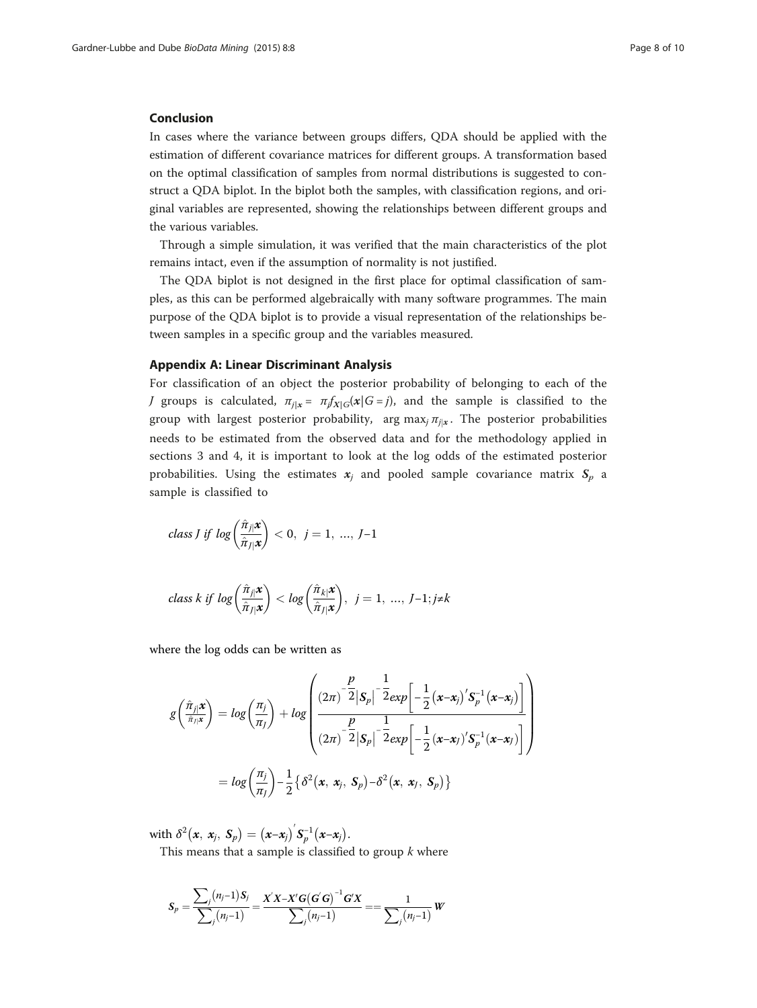## <span id="page-7-0"></span>Conclusion

In cases where the variance between groups differs, QDA should be applied with the estimation of different covariance matrices for different groups. A transformation based on the optimal classification of samples from normal distributions is suggested to construct a QDA biplot. In the biplot both the samples, with classification regions, and original variables are represented, showing the relationships between different groups and the various variables.

Through a simple simulation, it was verified that the main characteristics of the plot remains intact, even if the assumption of normality is not justified.

The QDA biplot is not designed in the first place for optimal classification of samples, as this can be performed algebraically with many software programmes. The main purpose of the QDA biplot is to provide a visual representation of the relationships between samples in a specific group and the variables measured.

## Appendix A: Linear Discriminant Analysis

For classification of an object the posterior probability of belonging to each of the *J* groups is calculated,  $\pi_{j|x} = \pi_j f_{X|G}(x|G = j)$ , and the sample is classified to the group with largest posterior probability, arg  $\max_j \pi_{j|x}$ . The posterior probabilities needs to be estimated from the observed data and for the methodology applied in sections 3 and 4, it is important to look at the log odds of the estimated posterior probabilities. Using the estimates  $x_i$  and pooled sample covariance matrix  $S_p$  a sample is classified to

class J if 
$$
log\left(\frac{\hat{\pi}_{j|x}}{\hat{\pi}_{j|x}}\right) < 0, j = 1, ..., J-1
$$

$$
class\; k\; \mathit{if}\; \log\bigg(\frac{\hat{\pi}_{j|\mathbf{x}}}{\hat{\pi}_{j|\mathbf{x}}}\bigg) < \log\bigg(\frac{\hat{\pi}_{k|\mathbf{x}}}{\hat{\pi}_{j|\mathbf{x}}}\bigg),\;\; j = 1,\; ...,\; J-1; j \neq k
$$

where the log odds can be written as

$$
g\left(\frac{\hat{\pi}_{j}x}{\hat{\pi}_{j}x}\right) = log\left(\frac{\pi_{j}}{\pi_{j}}\right) + log\left(\frac{(2\pi)^{-\frac{p}{2}}|S_{p}|^{-\frac{1}{2}}exp\left[-\frac{1}{2}(x-x_{j})'S_{p}^{-1}(x-x_{j})\right]}{(2\pi)^{-\frac{p}{2}}|S_{p}|^{-\frac{1}{2}}exp\left[-\frac{1}{2}(x-x_{j})'S_{p}^{-1}(x-x_{j})\right]}\right)
$$

$$
= log\left(\frac{\pi_{j}}{\pi_{j}}\right) - \frac{1}{2}\left\{\delta^{2}(x, x_{j}, S_{p}) - \delta^{2}(x, x_{j}, S_{p})\right\}
$$

with  $\delta^2(x, x_j, S_p) = (x-x_j)^{'}S_p^{-1}(x-x_j).$ 

This means that a sample is classified to group  $k$  where

$$
\mathcal{S}_p = \frac{\sum_j (n_j-1) \mathcal{S}_j}{\sum_j (n_j-1)} = \frac{X'X - X'\mathcal{G}(\mathcal{G}'\mathcal{G})^{-1}\mathcal{G}'X}{\sum_j (n_j-1)} = = \frac{1}{\sum_j (n_j-1)} W
$$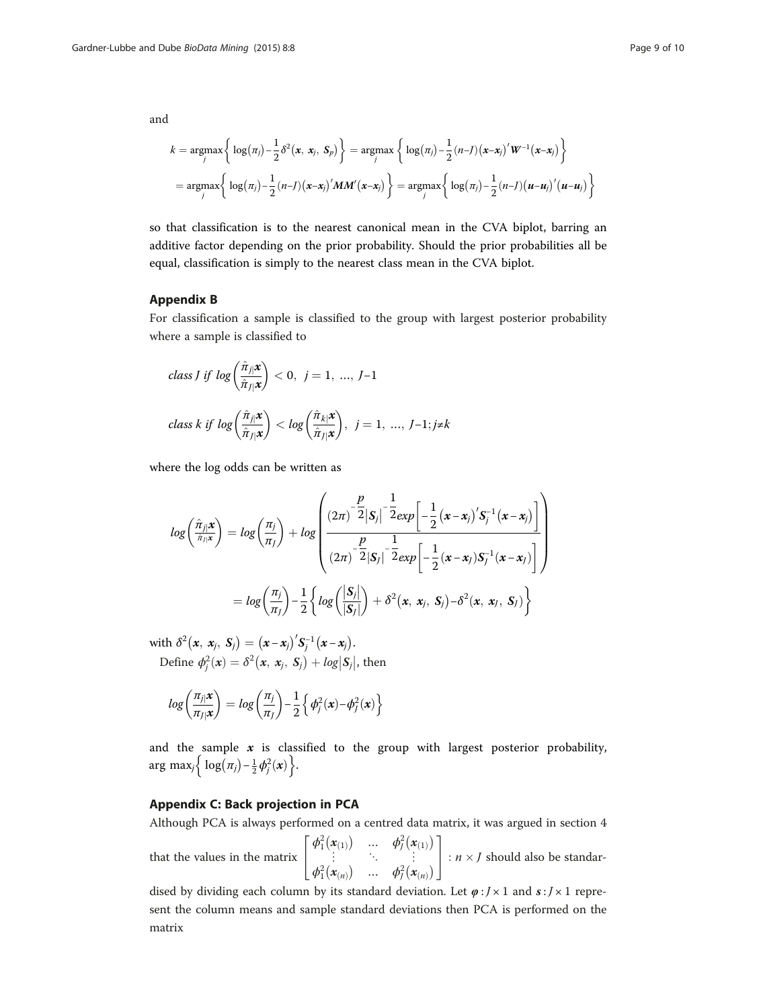$$
k = \underset{j}{\operatorname{argmax}} \left\{ \log(\pi_j) - \frac{1}{2} \delta^2(\mathbf{x}, \mathbf{x}_j, \mathbf{S}_p) \right\} = \underset{j}{\operatorname{argmax}} \left\{ \log(\pi_j) - \frac{1}{2} (n - J) (\mathbf{x} - \mathbf{x}_j)' \mathbf{W}^{-1} (\mathbf{x} - \mathbf{x}_j) \right\}
$$
  
= 
$$
\underset{j}{\operatorname{argmax}} \left\{ \log(\pi_j) - \frac{1}{2} (n - J) (\mathbf{x} - \mathbf{x}_j)' \mathbf{M} \mathbf{M}' (\mathbf{x} - \mathbf{x}_j) \right\} = \underset{j}{\operatorname{argmax}} \left\{ \log(\pi_j) - \frac{1}{2} (n - J) (\mathbf{u} - \mathbf{u}_j)' (\mathbf{u} - \mathbf{u}_j) \right\}
$$

so that classification is to the nearest canonical mean in the CVA biplot, barring an additive factor depending on the prior probability. Should the prior probabilities all be equal, classification is simply to the nearest class mean in the CVA biplot.

## Appendix B

For classification a sample is classified to the group with largest posterior probability where a sample is classified to

class J if 
$$
\log\left(\frac{\hat{\pi}_{j|\mathbf{x}}}{\hat{\pi}_{j|\mathbf{x}}}\right) < 0, \ j = 1, \dots, J-1
$$
  
\nclass k if  $\log\left(\frac{\hat{\pi}_{j|\mathbf{x}}}{\hat{\pi}_{j|\mathbf{x}}}\right) < \log\left(\frac{\hat{\pi}_{k|\mathbf{x}}}{\hat{\pi}_{j|\mathbf{x}}}\right), \ j = 1, \dots, J-1; j \neq k$ 

where the log odds can be written as

$$
log\left(\frac{\hat{\pi}_{j}|\mathbf{x}}{\hat{\pi}_{j}|\mathbf{x}}\right) = log\left(\frac{\pi_{j}}{\pi_{j}}\right) + log\left(\frac{\left(2\pi\right)^{-\frac{p}{2}}|S_{j}|^{-\frac{1}{2}}exp\left[-\frac{1}{2}\left(\mathbf{x}-\mathbf{x}_{j}\right)^{\prime}S_{j}^{-1}\left(\mathbf{x}-\mathbf{x}_{j}\right)\right]}{\left(2\pi\right)^{-\frac{p}{2}}|S_{j}|^{-\frac{1}{2}}exp\left[-\frac{1}{2}\left(\mathbf{x}-\mathbf{x}_{j}\right)S_{j}^{-1}\left(\mathbf{x}-\mathbf{x}_{j}\right)\right]}\right)
$$

$$
= log\left(\frac{\pi_{j}}{\pi_{j}}\right) - \frac{1}{2}\left\{log\left(\frac{|S_{j}|}{|S_{j}|}\right) + \delta^{2}\left(\mathbf{x}, \mathbf{x}_{j}, S_{j}\right) - \delta^{2}\left(\mathbf{x}, \mathbf{x}_{j}, S_{j}\right)\right\}
$$

with  $\delta^2(x, x_j, S_j) = (x-x_j)'S_j^{-1}(x-x_j)$ . Define  $\phi_j^2(\mathbf{x}) = \delta^2(\mathbf{x}, \mathbf{x}_j, \mathbf{S}_j) + \log |\mathbf{S}_j|$ , then

$$
log\left(\frac{\pi_j x}{\pi_j x}\right) = log\left(\frac{\pi_j}{\pi_j}\right) - \frac{1}{2} \left\{\phi_j^2(x) - \phi_j^2(x)\right\}
$$

and the sample  $x$  is classified to the group with largest posterior probability, arg max<sub>j</sub> {  $\log(\pi_j) - \frac{1}{2} \phi_j^2(\boldsymbol{x})$  }.

# Appendix C: Back projection in PCA

Although PCA is always performed on a centred data matrix, it was argued in section 4 that the values in the matrix  $\phi_1^2(x_{(1)})$  ...  $\phi_J^2(x_{(1)})$ ⋮⋱⋮  $\phi_1^2(x_{(n)})$  ...  $\phi_J^2(x_{(n)})$  $\sqrt{2}$ 4 3  $\mid : n \times J$  should also be standar-

dised by dividing each column by its standard deviation. Let  $\varphi: J \times 1$  and  $s: J \times 1$  represent the column means and sample standard deviations then PCA is performed on the matrix

<span id="page-8-0"></span>and